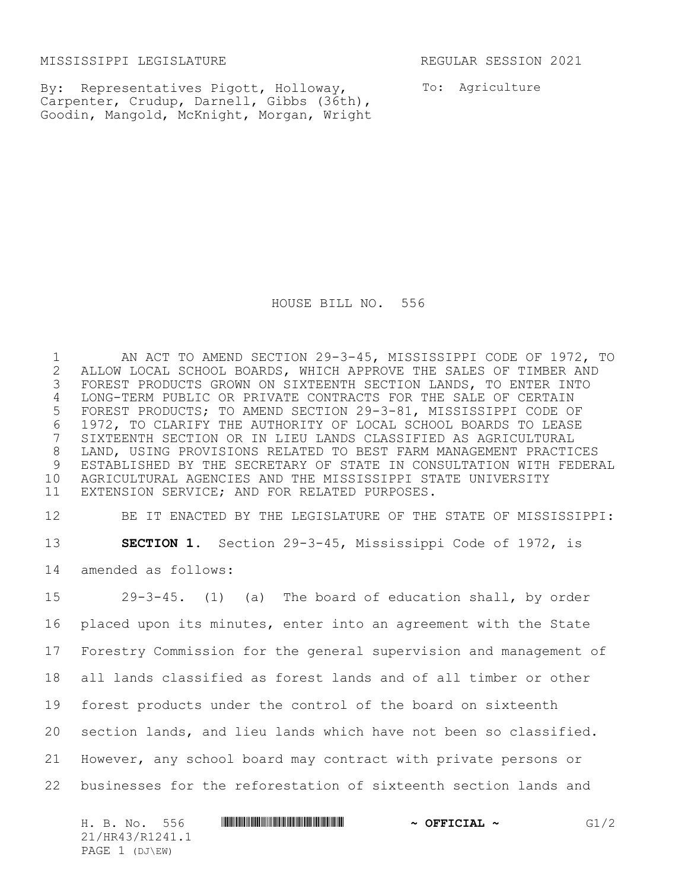MISSISSIPPI LEGISLATURE REGULAR SESSION 2021

By: Representatives Pigott, Holloway, Carpenter, Crudup, Darnell, Gibbs (36th), Goodin, Mangold, McKnight, Morgan, Wright To: Agriculture

HOUSE BILL NO. 556

 AN ACT TO AMEND SECTION 29-3-45, MISSISSIPPI CODE OF 1972, TO 2 ALLOW LOCAL SCHOOL BOARDS, WHICH APPROVE THE SALES OF TIMBER AND<br>3 FOREST PRODUCTS GROWN ON SIXTEENTH SECTION LANDS, TO ENTER INTO FOREST PRODUCTS GROWN ON SIXTEENTH SECTION LANDS, TO ENTER INTO LONG-TERM PUBLIC OR PRIVATE CONTRACTS FOR THE SALE OF CERTAIN FOREST PRODUCTS; TO AMEND SECTION 29-3-81, MISSISSIPPI CODE OF 1972, TO CLARIFY THE AUTHORITY OF LOCAL SCHOOL BOARDS TO LEASE SIXTEENTH SECTION OR IN LIEU LANDS CLASSIFIED AS AGRICULTURAL LAND, USING PROVISIONS RELATED TO BEST FARM MANAGEMENT PRACTICES ESTABLISHED BY THE SECRETARY OF STATE IN CONSULTATION WITH FEDERAL AGRICULTURAL AGENCIES AND THE MISSISSIPPI STATE UNIVERSITY EXTENSION SERVICE; AND FOR RELATED PURPOSES.

 BE IT ENACTED BY THE LEGISLATURE OF THE STATE OF MISSISSIPPI: **SECTION 1.** Section 29-3-45, Mississippi Code of 1972, is amended as follows:

 29-3-45. (1) (a) The board of education shall, by order placed upon its minutes, enter into an agreement with the State Forestry Commission for the general supervision and management of all lands classified as forest lands and of all timber or other forest products under the control of the board on sixteenth section lands, and lieu lands which have not been so classified. However, any school board may contract with private persons or businesses for the reforestation of sixteenth section lands and

| 556<br>H. B. No. | $\sim$ OFFICIAL $\sim$ | G1/2 |
|------------------|------------------------|------|
| 21/HR43/R1241.1  |                        |      |
| PAGE 1 (DJ\EW)   |                        |      |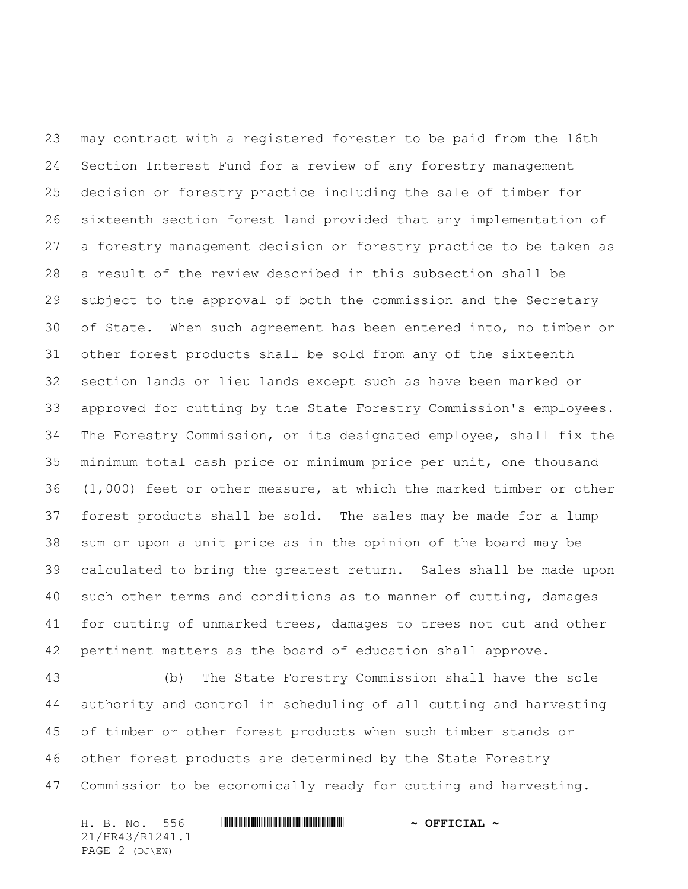may contract with a registered forester to be paid from the 16th Section Interest Fund for a review of any forestry management decision or forestry practice including the sale of timber for sixteenth section forest land provided that any implementation of a forestry management decision or forestry practice to be taken as a result of the review described in this subsection shall be subject to the approval of both the commission and the Secretary of State. When such agreement has been entered into, no timber or other forest products shall be sold from any of the sixteenth section lands or lieu lands except such as have been marked or approved for cutting by the State Forestry Commission's employees. The Forestry Commission, or its designated employee, shall fix the minimum total cash price or minimum price per unit, one thousand (1,000) feet or other measure, at which the marked timber or other forest products shall be sold. The sales may be made for a lump sum or upon a unit price as in the opinion of the board may be calculated to bring the greatest return. Sales shall be made upon such other terms and conditions as to manner of cutting, damages for cutting of unmarked trees, damages to trees not cut and other pertinent matters as the board of education shall approve.

 (b) The State Forestry Commission shall have the sole authority and control in scheduling of all cutting and harvesting of timber or other forest products when such timber stands or other forest products are determined by the State Forestry Commission to be economically ready for cutting and harvesting**.**

H. B. No. 556 \*HR43/R1241.1\* **~ OFFICIAL ~** 21/HR43/R1241.1 PAGE 2 (DJ\EW)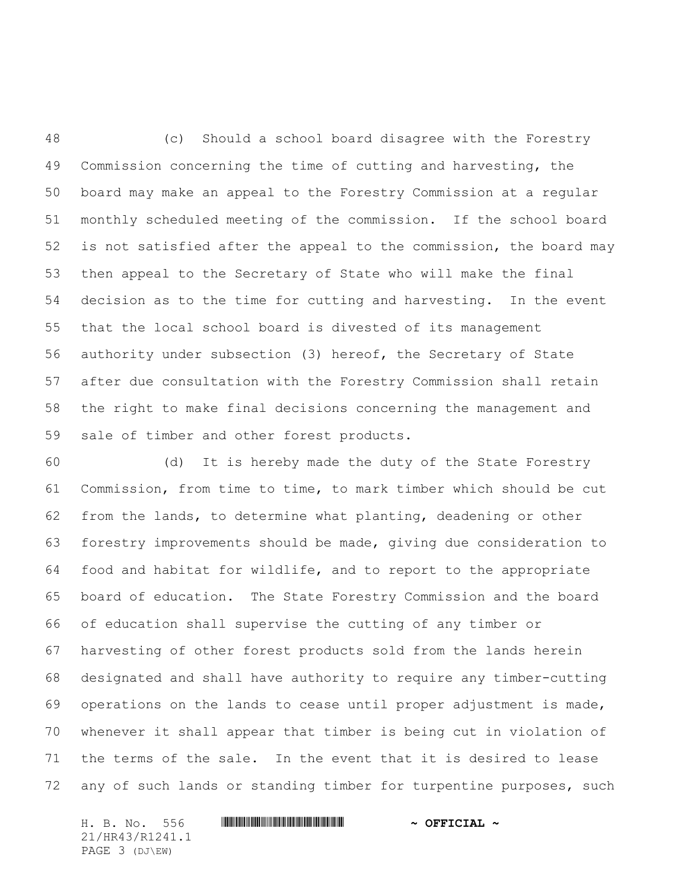(c) Should a school board disagree with the Forestry Commission concerning the time of cutting and harvesting, the board may make an appeal to the Forestry Commission at a regular monthly scheduled meeting of the commission. If the school board is not satisfied after the appeal to the commission, the board may then appeal to the Secretary of State who will make the final decision as to the time for cutting and harvesting. In the event that the local school board is divested of its management authority under subsection (3) hereof, the Secretary of State after due consultation with the Forestry Commission shall retain the right to make final decisions concerning the management and sale of timber and other forest products.

 (d) It is hereby made the duty of the State Forestry Commission, from time to time, to mark timber which should be cut from the lands, to determine what planting, deadening or other forestry improvements should be made, giving due consideration to food and habitat for wildlife, and to report to the appropriate board of education. The State Forestry Commission and the board of education shall supervise the cutting of any timber or harvesting of other forest products sold from the lands herein designated and shall have authority to require any timber-cutting operations on the lands to cease until proper adjustment is made, whenever it shall appear that timber is being cut in violation of the terms of the sale. In the event that it is desired to lease any of such lands or standing timber for turpentine purposes, such

H. B. No. 556 \*HR43/R1241.1\* **~ OFFICIAL ~** 21/HR43/R1241.1 PAGE 3 (DJ\EW)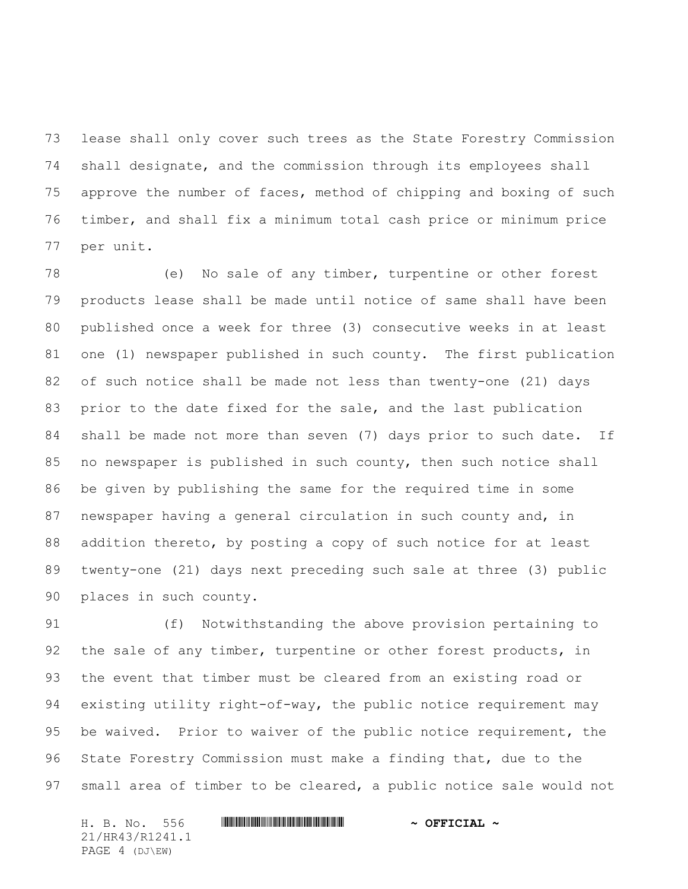lease shall only cover such trees as the State Forestry Commission shall designate, and the commission through its employees shall approve the number of faces, method of chipping and boxing of such timber, and shall fix a minimum total cash price or minimum price per unit.

 (e) No sale of any timber, turpentine or other forest products lease shall be made until notice of same shall have been published once a week for three (3) consecutive weeks in at least one (1) newspaper published in such county. The first publication of such notice shall be made not less than twenty-one (21) days prior to the date fixed for the sale, and the last publication shall be made not more than seven (7) days prior to such date. If 85 no newspaper is published in such county, then such notice shall be given by publishing the same for the required time in some newspaper having a general circulation in such county and, in addition thereto, by posting a copy of such notice for at least twenty-one (21) days next preceding such sale at three (3) public places in such county.

 (f) Notwithstanding the above provision pertaining to 92 the sale of any timber, turpentine or other forest products, in the event that timber must be cleared from an existing road or existing utility right-of-way, the public notice requirement may be waived. Prior to waiver of the public notice requirement, the State Forestry Commission must make a finding that, due to the small area of timber to be cleared, a public notice sale would not

H. B. No. 556 \*HR43/R1241.1\* **~ OFFICIAL ~** 21/HR43/R1241.1 PAGE 4 (DJ\EW)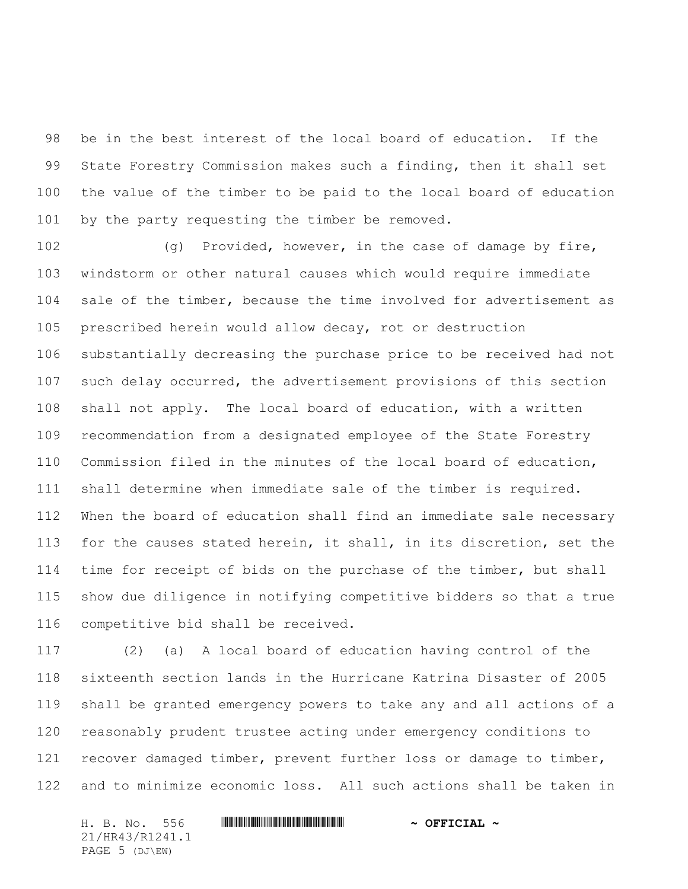be in the best interest of the local board of education. If the State Forestry Commission makes such a finding, then it shall set the value of the timber to be paid to the local board of education 101 by the party requesting the timber be removed.

102 (g) Provided, however, in the case of damage by fire, windstorm or other natural causes which would require immediate sale of the timber, because the time involved for advertisement as prescribed herein would allow decay, rot or destruction substantially decreasing the purchase price to be received had not such delay occurred, the advertisement provisions of this section shall not apply. The local board of education, with a written recommendation from a designated employee of the State Forestry Commission filed in the minutes of the local board of education, shall determine when immediate sale of the timber is required. When the board of education shall find an immediate sale necessary for the causes stated herein, it shall, in its discretion, set the time for receipt of bids on the purchase of the timber, but shall show due diligence in notifying competitive bidders so that a true competitive bid shall be received.

 (2) (a) A local board of education having control of the sixteenth section lands in the Hurricane Katrina Disaster of 2005 shall be granted emergency powers to take any and all actions of a reasonably prudent trustee acting under emergency conditions to recover damaged timber, prevent further loss or damage to timber, and to minimize economic loss. All such actions shall be taken in

H. B. No. 556 \*HR43/R1241.1\* **~ OFFICIAL ~** 21/HR43/R1241.1 PAGE 5 (DJ\EW)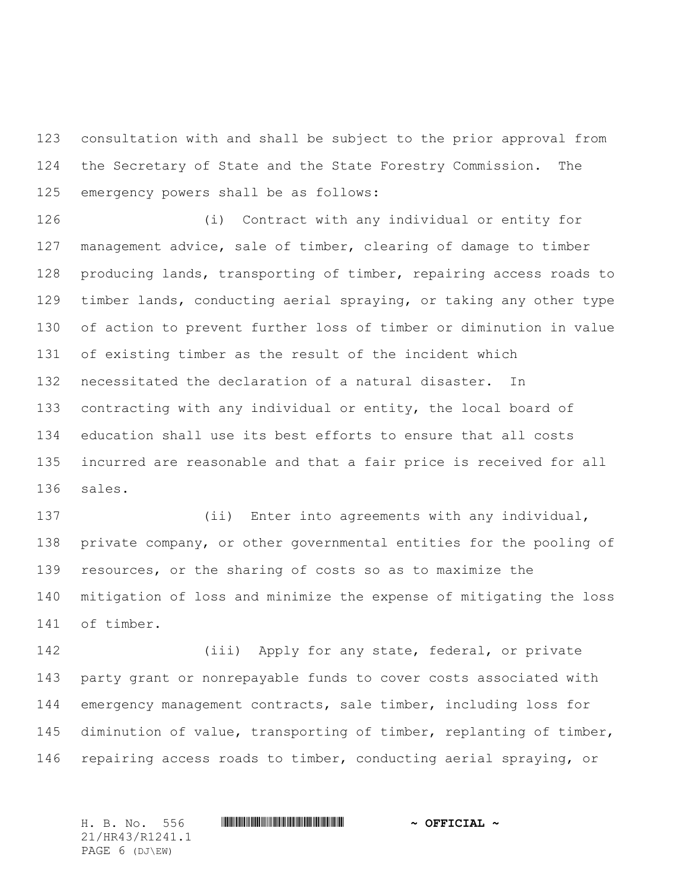consultation with and shall be subject to the prior approval from the Secretary of State and the State Forestry Commission. The emergency powers shall be as follows:

 (i) Contract with any individual or entity for management advice, sale of timber, clearing of damage to timber producing lands, transporting of timber, repairing access roads to timber lands, conducting aerial spraying, or taking any other type of action to prevent further loss of timber or diminution in value of existing timber as the result of the incident which necessitated the declaration of a natural disaster. In contracting with any individual or entity, the local board of education shall use its best efforts to ensure that all costs incurred are reasonable and that a fair price is received for all sales.

 (ii) Enter into agreements with any individual, private company, or other governmental entities for the pooling of resources, or the sharing of costs so as to maximize the mitigation of loss and minimize the expense of mitigating the loss of timber.

 (iii) Apply for any state, federal, or private party grant or nonrepayable funds to cover costs associated with emergency management contracts, sale timber, including loss for diminution of value, transporting of timber, replanting of timber, repairing access roads to timber, conducting aerial spraying, or

H. B. No. 556 \*HR43/R1241.1\* **~ OFFICIAL ~** 21/HR43/R1241.1 PAGE 6 (DJ\EW)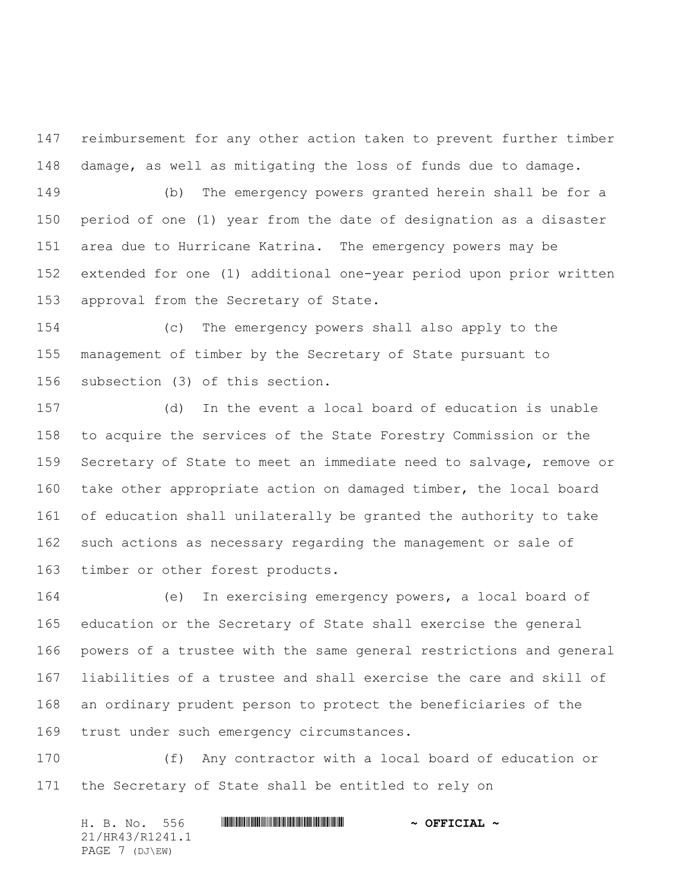reimbursement for any other action taken to prevent further timber damage, as well as mitigating the loss of funds due to damage.

 (b) The emergency powers granted herein shall be for a period of one (1) year from the date of designation as a disaster area due to Hurricane Katrina. The emergency powers may be extended for one (1) additional one-year period upon prior written approval from the Secretary of State.

 (c) The emergency powers shall also apply to the management of timber by the Secretary of State pursuant to subsection (3) of this section.

 (d) In the event a local board of education is unable to acquire the services of the State Forestry Commission or the Secretary of State to meet an immediate need to salvage, remove or take other appropriate action on damaged timber, the local board of education shall unilaterally be granted the authority to take such actions as necessary regarding the management or sale of timber or other forest products.

 (e) In exercising emergency powers, a local board of education or the Secretary of State shall exercise the general powers of a trustee with the same general restrictions and general liabilities of a trustee and shall exercise the care and skill of an ordinary prudent person to protect the beneficiaries of the trust under such emergency circumstances.

 (f) Any contractor with a local board of education or the Secretary of State shall be entitled to rely on

H. B. No. 556 \*HR43/R1241.1\* **~ OFFICIAL ~** 21/HR43/R1241.1 PAGE 7 (DJ\EW)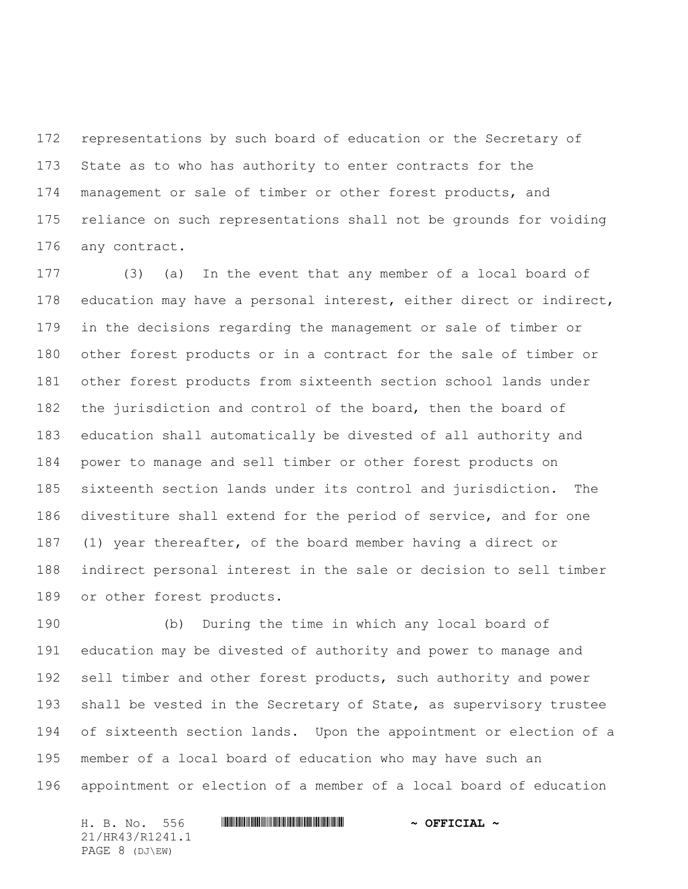representations by such board of education or the Secretary of State as to who has authority to enter contracts for the management or sale of timber or other forest products, and reliance on such representations shall not be grounds for voiding any contract.

 (3) (a) In the event that any member of a local board of 178 education may have a personal interest, either direct or indirect, in the decisions regarding the management or sale of timber or other forest products or in a contract for the sale of timber or other forest products from sixteenth section school lands under the jurisdiction and control of the board, then the board of education shall automatically be divested of all authority and power to manage and sell timber or other forest products on sixteenth section lands under its control and jurisdiction. The divestiture shall extend for the period of service, and for one (1) year thereafter, of the board member having a direct or indirect personal interest in the sale or decision to sell timber or other forest products.

 (b) During the time in which any local board of education may be divested of authority and power to manage and sell timber and other forest products, such authority and power 193 shall be vested in the Secretary of State, as supervisory trustee of sixteenth section lands. Upon the appointment or election of a member of a local board of education who may have such an appointment or election of a member of a local board of education

H. B. No. 556 \*HR43/R1241.1\* **~ OFFICIAL ~** 21/HR43/R1241.1 PAGE 8 (DJ\EW)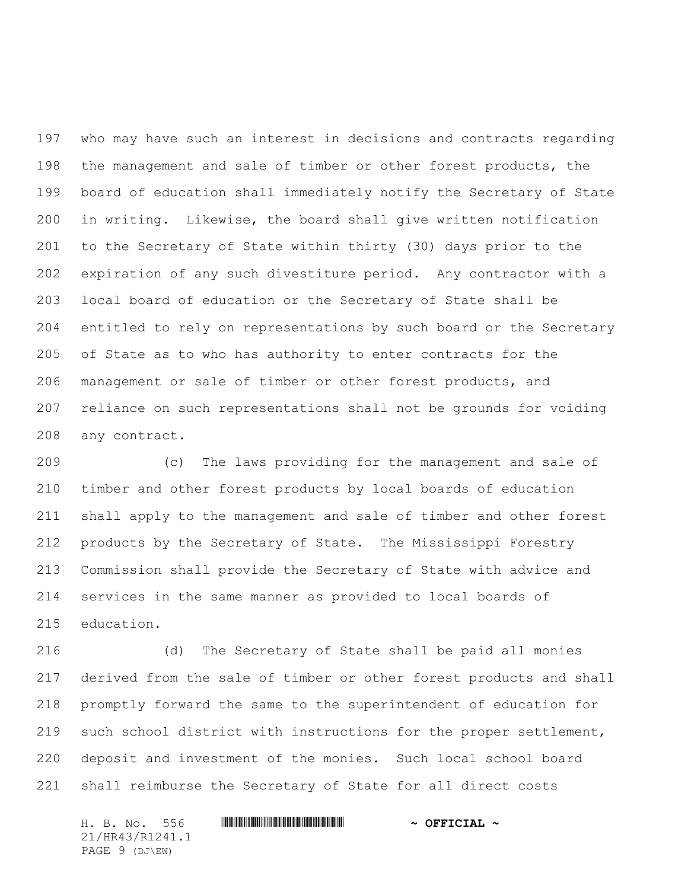who may have such an interest in decisions and contracts regarding the management and sale of timber or other forest products, the board of education shall immediately notify the Secretary of State in writing. Likewise, the board shall give written notification to the Secretary of State within thirty (30) days prior to the expiration of any such divestiture period. Any contractor with a local board of education or the Secretary of State shall be entitled to rely on representations by such board or the Secretary of State as to who has authority to enter contracts for the management or sale of timber or other forest products, and reliance on such representations shall not be grounds for voiding any contract.

 (c) The laws providing for the management and sale of timber and other forest products by local boards of education shall apply to the management and sale of timber and other forest products by the Secretary of State. The Mississippi Forestry Commission shall provide the Secretary of State with advice and services in the same manner as provided to local boards of education.

 (d) The Secretary of State shall be paid all monies derived from the sale of timber or other forest products and shall promptly forward the same to the superintendent of education for such school district with instructions for the proper settlement, deposit and investment of the monies. Such local school board shall reimburse the Secretary of State for all direct costs

H. B. No. 556 \*HR43/R1241.1\* **~ OFFICIAL ~** 21/HR43/R1241.1 PAGE 9 (DJ\EW)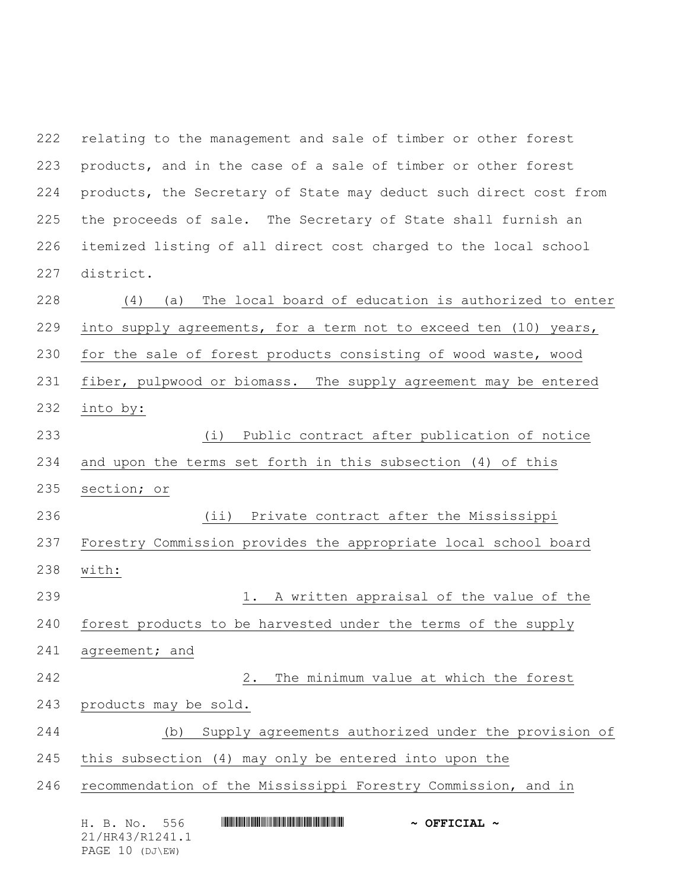relating to the management and sale of timber or other forest products, and in the case of a sale of timber or other forest products, the Secretary of State may deduct such direct cost from the proceeds of sale. The Secretary of State shall furnish an itemized listing of all direct cost charged to the local school district.

H. B. No. 556 \*HR43/R1241.1\* **~ OFFICIAL ~** (4) (a) The local board of education is authorized to enter into supply agreements, for a term not to exceed ten (10) years, for the sale of forest products consisting of wood waste, wood fiber, pulpwood or biomass. The supply agreement may be entered into by: (i) Public contract after publication of notice and upon the terms set forth in this subsection (4) of this section; or (ii) Private contract after the Mississippi Forestry Commission provides the appropriate local school board with: 1. A written appraisal of the value of the forest products to be harvested under the terms of the supply agreement; and 2. The minimum value at which the forest products may be sold. (b) Supply agreements authorized under the provision of this subsection (4) may only be entered into upon the recommendation of the Mississippi Forestry Commission, and in

21/HR43/R1241.1 PAGE 10 (DJ\EW)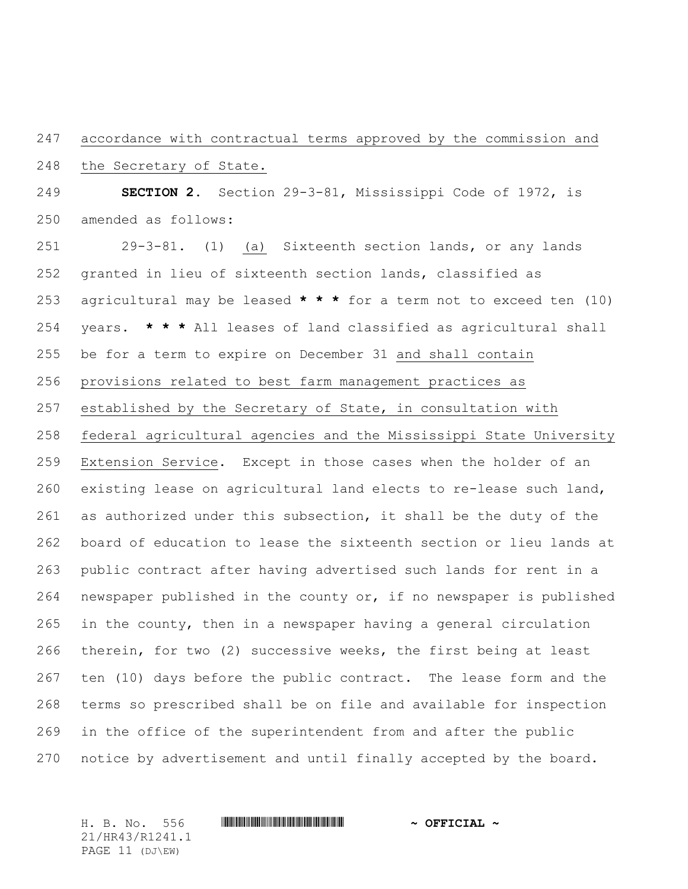accordance with contractual terms approved by the commission and

the Secretary of State.

 **SECTION 2.** Section 29-3-81, Mississippi Code of 1972, is amended as follows:

 29-3-81. (1) (a) Sixteenth section lands, or any lands granted in lieu of sixteenth section lands, classified as agricultural may be leased **\* \* \*** for a term not to exceed ten (10) years. **\* \* \*** All leases of land classified as agricultural shall be for a term to expire on December 31 and shall contain provisions related to best farm management practices as established by the Secretary of State, in consultation with federal agricultural agencies and the Mississippi State University Extension Service. Except in those cases when the holder of an existing lease on agricultural land elects to re-lease such land, 261 as authorized under this subsection, it shall be the duty of the board of education to lease the sixteenth section or lieu lands at public contract after having advertised such lands for rent in a newspaper published in the county or, if no newspaper is published in the county, then in a newspaper having a general circulation therein, for two (2) successive weeks, the first being at least ten (10) days before the public contract. The lease form and the terms so prescribed shall be on file and available for inspection in the office of the superintendent from and after the public notice by advertisement and until finally accepted by the board.

21/HR43/R1241.1 PAGE 11 (DJ\EW)

H. B. No. 556 \*HR43/R1241.1\* **~ OFFICIAL ~**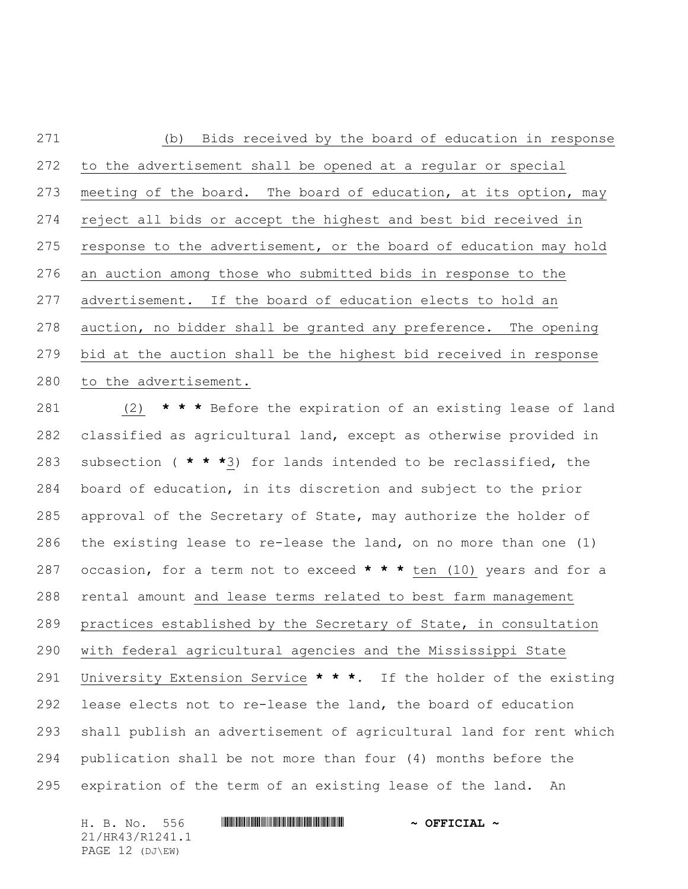(b) Bids received by the board of education in response to the advertisement shall be opened at a regular or special 273 meeting of the board. The board of education, at its option, may reject all bids or accept the highest and best bid received in response to the advertisement, or the board of education may hold an auction among those who submitted bids in response to the advertisement. If the board of education elects to hold an auction, no bidder shall be granted any preference. The opening bid at the auction shall be the highest bid received in response to the advertisement.

 (2) **\* \* \*** Before the expiration of an existing lease of land classified as agricultural land, except as otherwise provided in subsection ( **\* \* \***3) for lands intended to be reclassified, the board of education, in its discretion and subject to the prior approval of the Secretary of State, may authorize the holder of the existing lease to re-lease the land, on no more than one (1) occasion, for a term not to exceed **\* \* \*** ten (10) years and for a rental amount and lease terms related to best farm management practices established by the Secretary of State, in consultation with federal agricultural agencies and the Mississippi State University Extension Service **\* \* \***. If the holder of the existing lease elects not to re-lease the land, the board of education shall publish an advertisement of agricultural land for rent which publication shall be not more than four (4) months before the expiration of the term of an existing lease of the land. An

H. B. No. 556 \*HR43/R1241.1\* **~ OFFICIAL ~** 21/HR43/R1241.1 PAGE 12 (DJ\EW)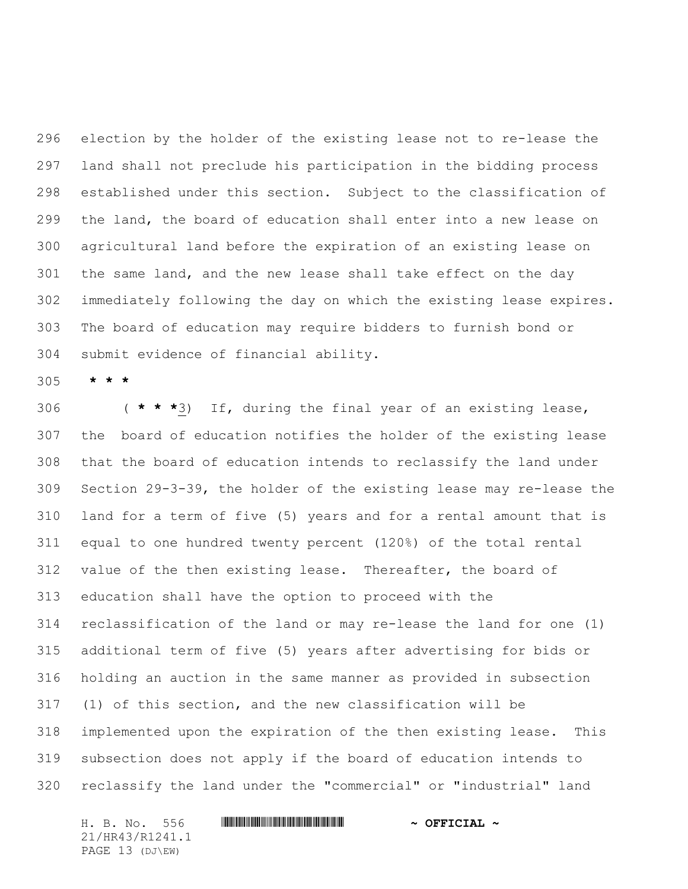election by the holder of the existing lease not to re-lease the land shall not preclude his participation in the bidding process established under this section. Subject to the classification of the land, the board of education shall enter into a new lease on agricultural land before the expiration of an existing lease on the same land, and the new lease shall take effect on the day immediately following the day on which the existing lease expires. The board of education may require bidders to furnish bond or submit evidence of financial ability.

**\* \* \***

 ( **\* \* \***3) If, during the final year of an existing lease, the board of education notifies the holder of the existing lease that the board of education intends to reclassify the land under Section 29-3-39, the holder of the existing lease may re-lease the land for a term of five (5) years and for a rental amount that is equal to one hundred twenty percent (120%) of the total rental value of the then existing lease. Thereafter, the board of education shall have the option to proceed with the reclassification of the land or may re-lease the land for one (1) additional term of five (5) years after advertising for bids or holding an auction in the same manner as provided in subsection (1) of this section, and the new classification will be implemented upon the expiration of the then existing lease. This subsection does not apply if the board of education intends to reclassify the land under the "commercial" or "industrial" land

H. B. No. 556 \*HR43/R1241.1\* **~ OFFICIAL ~** 21/HR43/R1241.1 PAGE 13 (DJ\EW)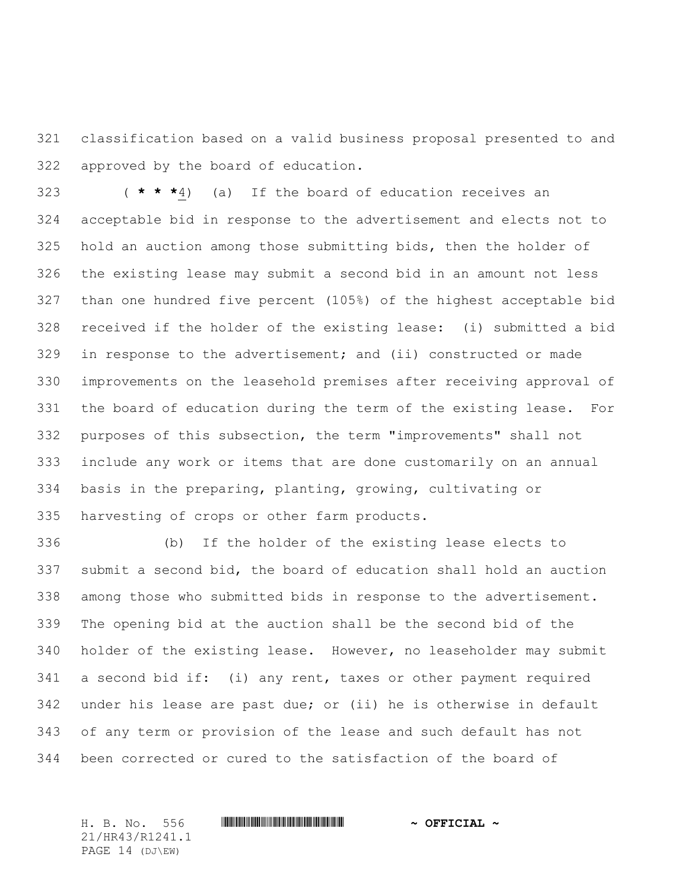classification based on a valid business proposal presented to and approved by the board of education.

 ( **\* \* \***4) (a) If the board of education receives an acceptable bid in response to the advertisement and elects not to hold an auction among those submitting bids, then the holder of the existing lease may submit a second bid in an amount not less than one hundred five percent (105%) of the highest acceptable bid received if the holder of the existing lease: (i) submitted a bid in response to the advertisement; and (ii) constructed or made improvements on the leasehold premises after receiving approval of the board of education during the term of the existing lease. For purposes of this subsection, the term "improvements" shall not include any work or items that are done customarily on an annual basis in the preparing, planting, growing, cultivating or harvesting of crops or other farm products.

 (b) If the holder of the existing lease elects to submit a second bid, the board of education shall hold an auction among those who submitted bids in response to the advertisement. The opening bid at the auction shall be the second bid of the holder of the existing lease. However, no leaseholder may submit a second bid if: (i) any rent, taxes or other payment required under his lease are past due; or (ii) he is otherwise in default of any term or provision of the lease and such default has not been corrected or cured to the satisfaction of the board of

H. B. No. 556 \*HR43/R1241.1\* **~ OFFICIAL ~** 21/HR43/R1241.1 PAGE 14 (DJ\EW)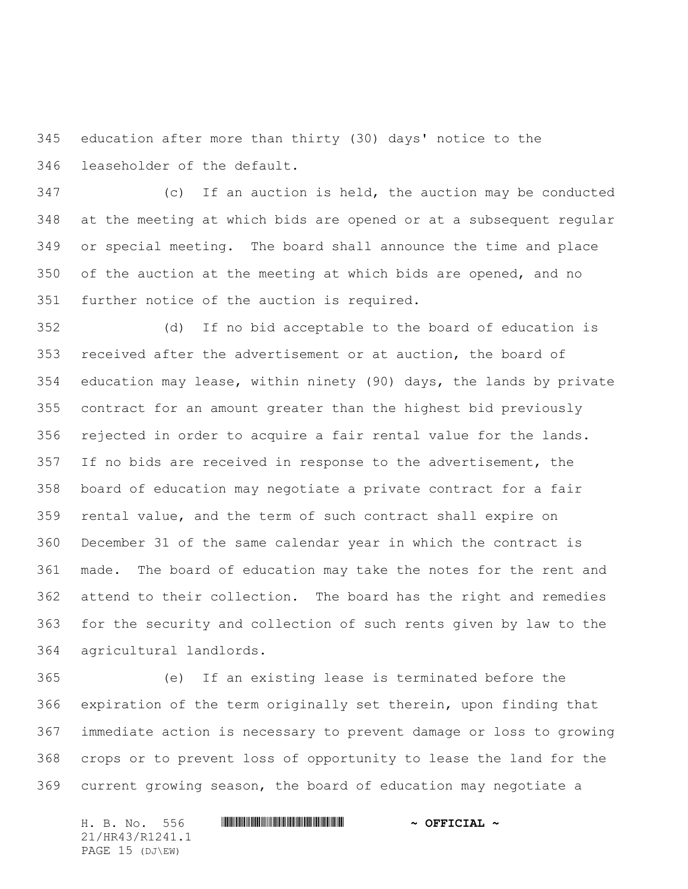education after more than thirty (30) days' notice to the leaseholder of the default.

 (c) If an auction is held, the auction may be conducted at the meeting at which bids are opened or at a subsequent regular or special meeting. The board shall announce the time and place of the auction at the meeting at which bids are opened, and no further notice of the auction is required.

 (d) If no bid acceptable to the board of education is received after the advertisement or at auction, the board of education may lease, within ninety (90) days, the lands by private contract for an amount greater than the highest bid previously rejected in order to acquire a fair rental value for the lands. If no bids are received in response to the advertisement, the board of education may negotiate a private contract for a fair rental value, and the term of such contract shall expire on December 31 of the same calendar year in which the contract is made. The board of education may take the notes for the rent and attend to their collection. The board has the right and remedies for the security and collection of such rents given by law to the agricultural landlords.

 (e) If an existing lease is terminated before the expiration of the term originally set therein, upon finding that immediate action is necessary to prevent damage or loss to growing crops or to prevent loss of opportunity to lease the land for the current growing season, the board of education may negotiate a

H. B. No. 556 \*HR43/R1241.1\* **~ OFFICIAL ~** 21/HR43/R1241.1 PAGE 15 (DJ\EW)